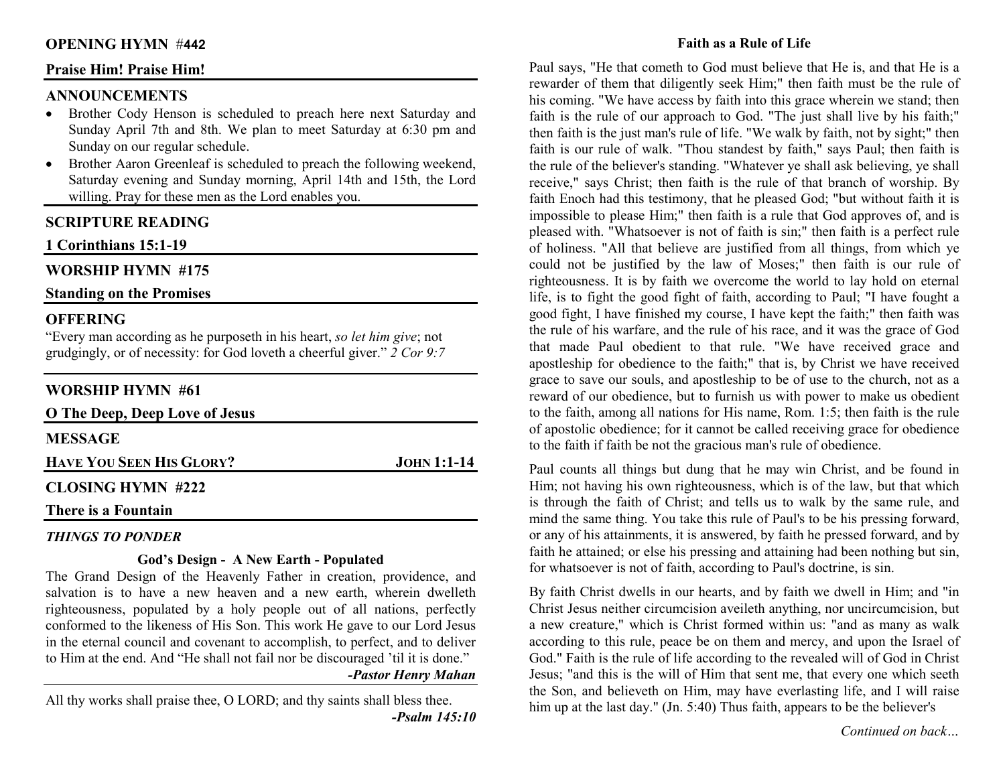#### **OPENING HYMN** #**442**

## **Praise Him! Praise Him!**

#### **ANNOUNCEMENTS**

- Brother Cody Henson is scheduled to preach here next Saturday and Sunday April 7th and 8th. We plan to meet Saturday at 6:30 pm and Sunday on our regular schedule.
- • Brother Aaron Greenleaf is scheduled to preach the following weekend, Saturday evening and Sunday morning, April 14th and 15th, the Lord willing. Pray for these men as the Lord enables you.

# **SCRIPTURE READING**

### **1 Corinthians 15:1-19**

# **WORSHIP HYMN #175**

# **Standing on the Promises**

### **OFFERING**

 "Every man according as he purposeth in his heart, *so let him give*; not grudgingly, or of necessity: for God loveth a cheerful giver." *2 Cor 9:7*

## **WORSHIP HYMN #61**

| O The Deep, Deep Love of Jesus  |               |
|---------------------------------|---------------|
| <b>MESSAGE</b>                  |               |
| <b>HAVE YOU SEEN HIS GLORY?</b> | $JOHN 1:1-14$ |
| <b>CLOSING HYMN #222</b>        |               |
| There is a Fountain             |               |

### *THINGS TO PONDER*

#### **God's Design - A New Earth - Populated**

 The Grand Design of the Heavenly Father in creation, providence, and salvation is to have a new heaven and a new earth, wherein dwelleth righteousness, populated by a holy people out of all nations, perfectly conformed to the likeness of His Son. This work He gave to our Lord Jesus in the eternal council and covenant to accomplish, to perfect, and to deliver to Him at the end. And "He shall not fail nor be discouraged 'til it is done." *-Pastor Henry Mahan* 

All thy works shall praise thee, O LORD; and thy saints shall bless thee. *-Psalm 145:10* 

#### **Faith as a Rule of Life**

Paul says, "He that cometh to God must believe that He is, and that He is a rewarder of them that diligently seek Him;" then faith must be the rule of his coming. "We have access by faith into this grace wherein we stand; then faith is the rule of our approach to God. "The just shall live by his faith;" then faith is the just man's rule of life. "We walk by faith, not by sight;" then faith is our rule of walk. "Thou standest by faith," says Paul; then faith is the rule of the believer's standing. "Whatever ye shall ask believing, ye shall receive," says Christ; then faith is the rule of that branch of worship. By faith Enoch had this testimony, that he pleased God; "but without faith it is impossible to please Him;" then faith is a rule that God approves of, and is pleased with. "Whatsoever is not of faith is sin;" then faith is a perfect rule of holiness. "All that believe are justified from all things, from which ye could not be justified by the law of Moses;" then faith is our rule of righteousness. It is by faith we overcome the world to lay hold on eternal life, is to fight the good fight of faith, according to Paul; "I have fought a good fight, I have finished my course, I have kept the faith;" then faith was the rule of his warfare, and the rule of his race, and it was the grace of God that made Paul obedient to that rule. "We have received grace and apostleship for obedience to the faith;" that is, by Christ we have received grace to save our souls, and apostleship to be of use to the church, not as a reward of our obedience, but to furnish us with power to make us obedient to the faith, among all nations for His name, Rom. 1:5; then faith is the rule of apostolic obedience; for it cannot be called receiving grace for obedience to the faith if faith be not the gracious man's rule of obedience.

Paul counts all things but dung that he may win Christ, and be found in Him; not having his own righteousness, which is of the law, but that which is through the faith of Christ; and tells us to walk by the same rule, and mind the same thing. You take this rule of Paul's to be his pressing forward, or any of his attainments, it is answered, by faith he pressed forward, and by faith he attained; or else his pressing and attaining had been nothing but sin, for whatsoever is not of faith, according to Paul's doctrine, is sin.

By faith Christ dwells in our hearts, and by faith we dwell in Him; and "in Christ Jesus neither circumcision aveileth anything, nor uncircumcision, but a new creature," which is Christ formed within us: "and as many as walk according to this rule, peace be on them and mercy, and upon the Israel of God." Faith is the rule of life according to the revealed will of God in Christ Jesus; "and this is the will of Him that sent me, that every one which seeth the Son, and believeth on Him, may have everlasting life, and I will raise him up at the last day." (Jn. 5:40) Thus faith, appears to be the believer's

*Continued on back…*